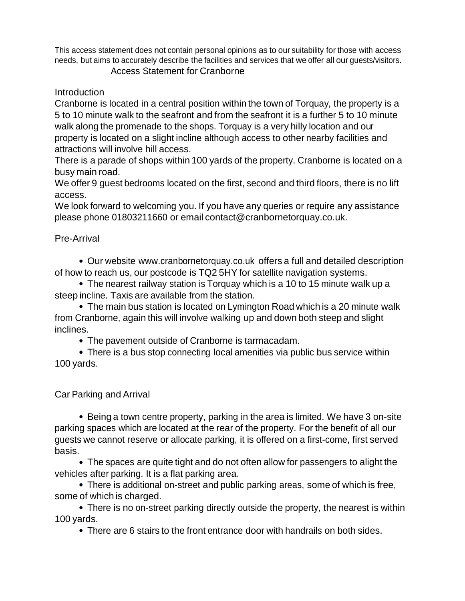This access statement does not contain personal opinions as to our suitability for those with access needs, but aims to accurately describe the facilities and services that we offer all our guests/visitors.

## Access Statement for Cranborne

**Introduction** 

Cranborne is located in a central position within the town of Torquay, the property is a 5 to 10 minute walk to the seafront and from the seafront it is a further 5 to 10 minute walk along the promenade to the shops. Torquay is a very hilly location and our property is located on a slight incline although access to other nearby facilities and attractions will involve hill access.

There is a parade of shops within 100 yards of the property. Cranborne is located on a busy main road.

We offer 9 guest bedrooms located on the first, second and third floors, there is no lift access.

We look forward to welcoming you. If you have any queries or require any assistance please phone 01803211660 or email contact@cranbornetorquay.co.uk.

# Pre-Arrival

Our website [www.cranbornetorquay.co.uk](http://www.cranbornetorquay.co.uk/) offers a full and detailed description of how to reach us, our postcode is TQ2 5HY for satellite navigation systems.

The nearest railway station is Torquay which is a 10 to 15 minute walk up a steep incline. Taxis are available from the station.

The main bus station is located on Lymington Road which is a 20 minute walk from Cranborne, again this will involve walking up and down both steep and slight inclines.

The pavement outside of Cranborne is tarmacadam.

There is a bus stop connecting local amenities via public bus service within 100 yards.

Car Parking and Arrival

Being a town centre property, parking in the area is limited. We have 3 on-site parking spaces which are located at the rear of the property. For the benefit of all our guests we cannot reserve or allocate parking, it is offered on a first-come, first served basis.

The spaces are quite tight and do not often allow for passengers to alight the vehicles after parking. It is a flat parking area.

There is additional on-street and public parking areas, some of which is free, some of which is charged.

There is no on-street parking directly outside the property, the nearest is within 100 yards.

There are 6 stairs to the front entrance door with handrails on both sides.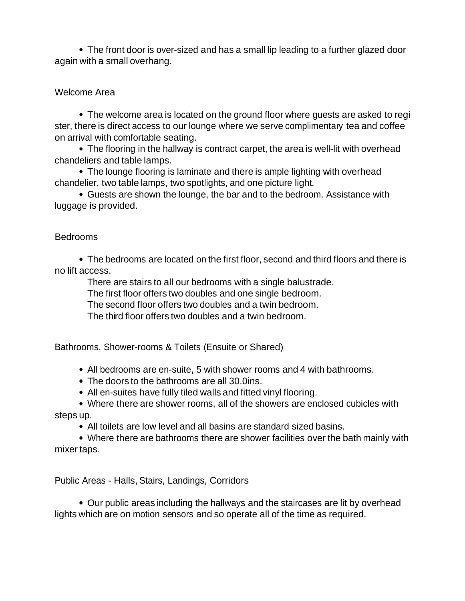The front door is over-sized and has a small lip leading to a further glazed door again with a small overhang.

## Welcome Area

The welcome area is located on the ground floor where guests are asked to regi ster, there is direct access to our lounge where we serve complimentary tea and coffee on arrival with comfortable seating.

The flooring in the hallway is contract carpet, the area is well-lit with overhead chandeliers and table lamps.

The lounge flooring is laminate and there is ample lighting with overhead chandelier, two table lamps, two spotlights, and one picture light.

Guests are shown the lounge, the bar and to the bedroom. Assistance with luggage is provided.

### Bedrooms

The bedrooms are located on the first floor, second and third floors and there is no lift access.

There are stairs to all our bedrooms with a single balustrade.

The first floor offers two doubles and one single bedroom.

The second floor offers two doubles and a twin bedroom.

The third floor offers two doubles and a twin bedroom.

Bathrooms, Shower-rooms & Toilets (Ensuite or Shared)

- All bedrooms are en-suite, 5 with shower rooms and 4 with bathrooms.
- The doors to the bathrooms are all 30.0ins.
- All en-suites have fully tiled walls and fitted vinyl flooring.

Where there are shower rooms, all of the showers are enclosed cubicles with steps up.

All toilets are low level and all basins are standard sized basins.

Where there are bathrooms there are shower facilities over the bath mainly with mixer taps.

Public Areas - Halls, Stairs, Landings, Corridors

Our public areas including the hallways and the staircases are lit by overhead lights which are on motion sensors and so operate all of the time as required.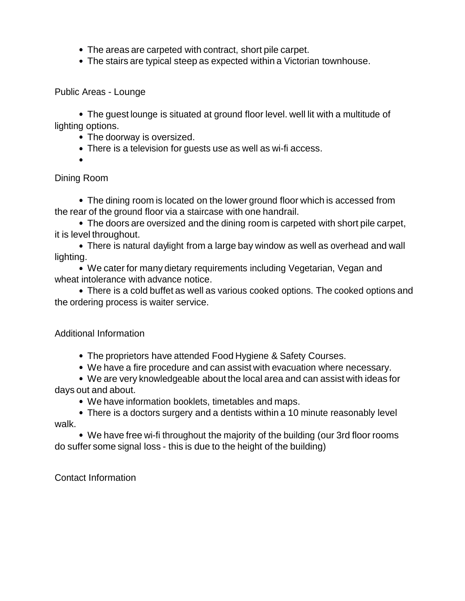- The areas are carpeted with contract, short pile carpet.
- The stairs are typical steep as expected within a Victorian townhouse.

Public Areas - Lounge

The guest lounge is situated at ground floor level. well lit with a multitude of lighting options.

- The doorway is oversized.
- There is a television for guests use as well as wi-fi access.
- 

Dining Room

The dining room is located on the lower ground floor which is accessed from the rear of the ground floor via a staircase with one handrail.

The doors are oversized and the dining room is carpeted with short pile carpet, it is level throughout.

There is natural daylight from a large bay window as well as overhead and wall lighting.

We cater for many dietary requirements including Vegetarian, Vegan and wheat intolerance with advance notice.

There is a cold buffet as well as various cooked options. The cooked options and the ordering process is waiter service.

## Additional Information

- The proprietors have attended Food Hygiene & Safety Courses.
- We have a fire procedure and can assist with evacuation where necessary.

We are very knowledgeable about the local area and can assist with ideas for days out and about.

- We have information booklets, timetables and maps.
- There is a doctors surgery and a dentists within a 10 minute reasonably level walk.

We have free wi-fi throughout the majority of the building (our 3rd floor rooms do suffer some signal loss - this is due to the height of the building)

Contact Information